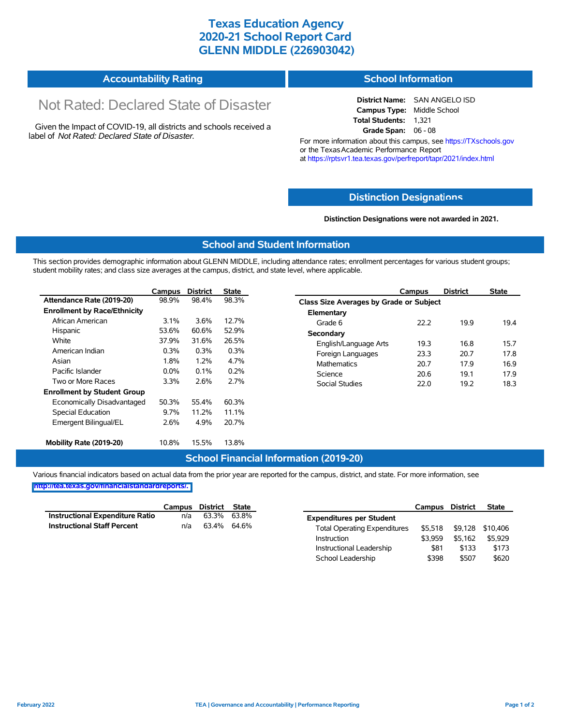## **Texas Education Agency 2020-21 School Report Card GLENN MIDDLE (226903042)**

| <b>Accountability Rating</b> | <b>School Information</b> |
|------------------------------|---------------------------|
|------------------------------|---------------------------|

# Not Rated: Declared State of Disaster

Given the Impact of COVID-19, all districts and schools received a label of *Not Rated: Declared State of Disaster.*

**District Name:** SAN ANGELO ISD **Campus Type:** Middle School **Total Students:** 1,321 **Grade Span:** 06 - 08

For more information about this campus, see https://TXschools.gov or the Texas Academic Performance Report at https://rptsvr1.tea.texas.gov/perfreport/tapr/2021/index.html

### **Distinction Designat[ions](https://TXschools.gov)**

**Distinction Designations were not awarded in 2021.**

School Leadership  $$398$  \$507 \$620

#### **School and Student Information**

This section provides demographic information about GLENN MIDDLE, including attendance rates; enrollment percentages for various student groups; student mobility rates; and class size averages at the campus, district, and state level, where applicable.

|                                     | Campus  | <b>District</b> | <b>State</b> | Campus                        | <b>District</b>                         | <b>State</b> |  |  |  |  |
|-------------------------------------|---------|-----------------|--------------|-------------------------------|-----------------------------------------|--------------|--|--|--|--|
| Attendance Rate (2019-20)           | 98.9%   | 98.4%           | 98.3%        |                               | Class Size Averages by Grade or Subject |              |  |  |  |  |
| <b>Enrollment by Race/Ethnicity</b> |         |                 |              | Elementary                    |                                         |              |  |  |  |  |
| African American                    | $3.1\%$ | 3.6%            | 12.7%        | 22.2<br>Grade 6               | 19.9                                    | 19.4         |  |  |  |  |
| Hispanic                            | 53.6%   | 60.6%           | 52.9%        | Secondary                     |                                         |              |  |  |  |  |
| White                               | 37.9%   | 31.6%           | 26.5%        | 19.3<br>English/Language Arts | 16.8                                    | 15.7         |  |  |  |  |
| American Indian                     | 0.3%    | 0.3%            | 0.3%         | Foreign Languages<br>23.3     | 20.7                                    | 17.8         |  |  |  |  |
| Asian                               | 1.8%    | 1.2%            | 4.7%         | Mathematics<br>20.7           | 17.9                                    | 16.9         |  |  |  |  |
| Pacific Islander                    | $0.0\%$ | 0.1%            | 0.2%         | Science<br>20.6               | 19.1                                    | 17.9         |  |  |  |  |
| Two or More Races                   | 3.3%    | 2.6%            | 2.7%         | Social Studies<br>22.0        | 19.2                                    | 18.3         |  |  |  |  |
| <b>Enrollment by Student Group</b>  |         |                 |              |                               |                                         |              |  |  |  |  |
| Economically Disadvantaged          | 50.3%   | 55.4%           | 60.3%        |                               |                                         |              |  |  |  |  |
| Special Education                   | 9.7%    | 11.2%           | 11.1%        |                               |                                         |              |  |  |  |  |
| Emergent Bilingual/EL               | 2.6%    | 4.9%            | 20.7%        |                               |                                         |              |  |  |  |  |
|                                     |         |                 |              |                               |                                         |              |  |  |  |  |
| Mobility Rate (2019-20)             | 10.8%   | 15.5%           | 13.8%        |                               |                                         |              |  |  |  |  |

#### **School Financial Information (2019-20)**

Various financial indicators based on actual data from the prior year are reported for the campus, district, and state. For more information, see

**[http://tea.texas.gov/financialstandardreports/.](http://tea.texas.gov/financialstandardreports/)**

|                                    | Campus | District State |             |                                     | Campus  | <b>District</b> | <b>State</b>     |
|------------------------------------|--------|----------------|-------------|-------------------------------------|---------|-----------------|------------------|
| Instructional Expenditure Ratio    | n/a    | 63.3%          | 63.8%       | <b>Expenditures per Student</b>     |         |                 |                  |
| <b>Instructional Staff Percent</b> | n/a    |                | 63.4% 64.6% | <b>Total Operating Expenditures</b> | \$5.518 |                 | \$9,128 \$10,406 |
|                                    |        |                |             | Instruction                         | \$3.959 | \$5.162         | \$5.929          |
|                                    |        |                |             | Instructional Leadership            | \$81    | \$133           | \$173            |